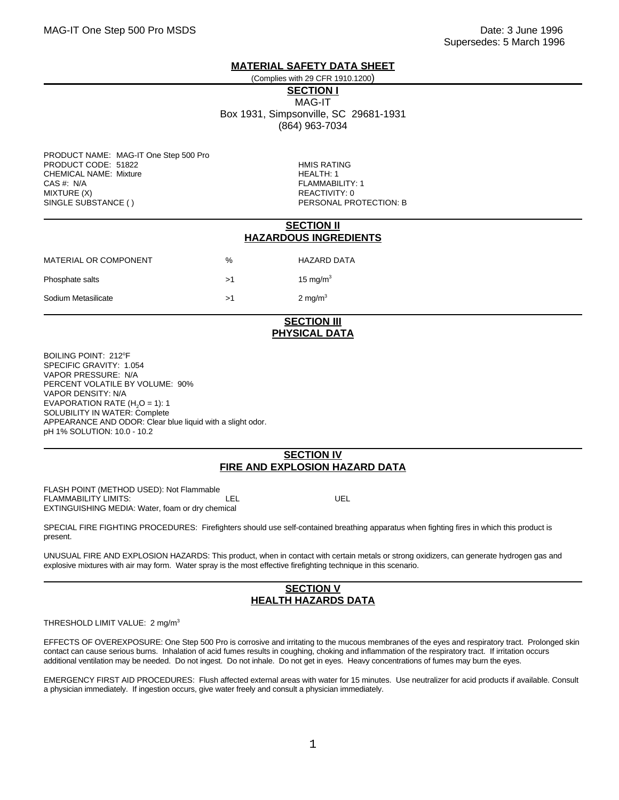### **MATERIAL SAFETY DATA SHEET**

### (Complies with 29 CFR 1910.1200)

**SECTION I** MAG-IT

Box 1931, Simpsonville, SC 29681-1931 (864) 963-7034

PRODUCT NAME: MAG-IT One Step 500 Pro PRODUCT CODE: 51822 HMIS RATING CHEMICAL NAME: Mixture **HEALTH: 1** CAS #: N/A FLAMMABILITY: 1 SINGLE SUBSTANCE ( ) THE RESONAL PROTECTION: B

REACTIVITY: 0

### **SECTION II HAZARDOUS INGREDIENTS**

| MATERIAL OR COMPONENT | $\%$     | <b>HAZARD DATA</b> |
|-----------------------|----------|--------------------|
| Phosphate salts       | >1       | 15 mg/m $^3$       |
| Sodium Metasilicate   | $\sim$ 1 | 2 mg/m $3$         |

# **SECTION III PHYSICAL DATA**

BOILING POINT: 212°F SPECIFIC GRAVITY: 1.054 VAPOR PRESSURE: N/A PERCENT VOLATILE BY VOLUME: 90% VAPOR DENSITY: N/A EVAPORATION RATE  $(H<sub>2</sub>O = 1)$ : 1 SOLUBILITY IN WATER: Complete APPEARANCE AND ODOR: Clear blue liquid with a slight odor. pH 1% SOLUTION: 10.0 - 10.2

## **SECTION IV FIRE AND EXPLOSION HAZARD DATA**

FLASH POINT (METHOD USED): Not Flammable FLAMMABILITY LIMITS:  $\overline{L}$  LEL UEL EXTINGUISHING MEDIA: Water, foam or dry chemical

SPECIAL FIRE FIGHTING PROCEDURES: Firefighters should use self-contained breathing apparatus when fighting fires in which this product is present.

UNUSUAL FIRE AND EXPLOSION HAZARDS: This product, when in contact with certain metals or strong oxidizers, can generate hydrogen gas and explosive mixtures with air may form. Water spray is the most effective firefighting technique in this scenario.

### **SECTION V HEALTH HAZARDS DATA**

#### THRESHOLD LIMIT VALUE: 2 mg/m<sup>3</sup>

EFFECTS OF OVEREXPOSURE: One Step 500 Pro is corrosive and irritating to the mucous membranes of the eyes and respiratory tract. Prolonged skin contact can cause serious burns. Inhalation of acid fumes results in coughing, choking and inflammation of the respiratory tract. If irritation occurs additional ventilation may be needed. Do not ingest. Do not inhale. Do not get in eyes. Heavy concentrations of fumes may burn the eyes.

EMERGENCY FIRST AID PROCEDURES: Flush affected external areas with water for 15 minutes. Use neutralizer for acid products if available. Consult a physician immediately. If ingestion occurs, give water freely and consult a physician immediately.